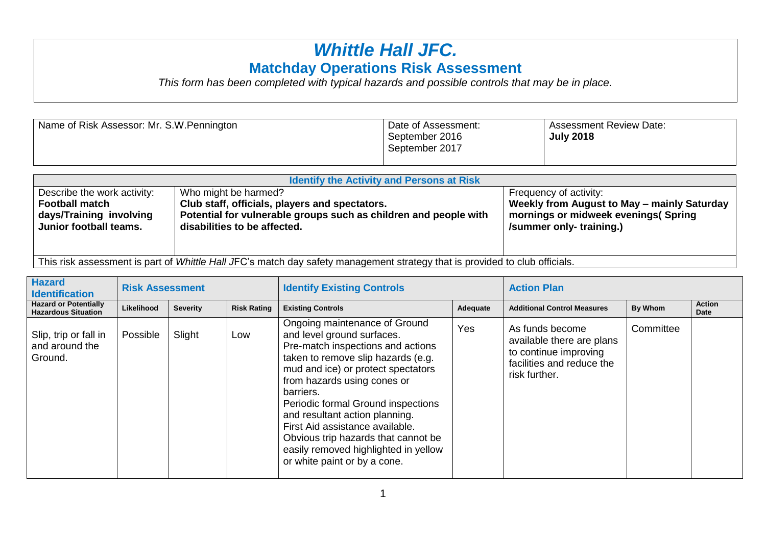## *Whittle Hall JFC.* **Matchday Operations Risk Assessment**

*This form has been completed with typical hazards and possible controls that may be in place.*

| Name of Risk Assessor: Mr. S.W. Pennington | Date of Assessment:<br>September 2016<br>September 2017 | <b>Assessment Review Date:</b><br><b>July 2018</b> |
|--------------------------------------------|---------------------------------------------------------|----------------------------------------------------|
|                                            |                                                         |                                                    |
|                                            |                                                         |                                                    |

| <b>Identify the Activity and Persons at Risk</b>                                                                            |                                                                                                                                                                            |                                                                                                                                          |  |  |  |  |  |  |  |  |  |
|-----------------------------------------------------------------------------------------------------------------------------|----------------------------------------------------------------------------------------------------------------------------------------------------------------------------|------------------------------------------------------------------------------------------------------------------------------------------|--|--|--|--|--|--|--|--|--|
| Describe the work activity:<br><b>Football match</b><br>days/Training involving<br>Junior football teams.                   | Who might be harmed?<br>Club staff, officials, players and spectators.<br>Potential for vulnerable groups such as children and people with<br>disabilities to be affected. | Frequency of activity:<br>Weekly from August to May - mainly Saturday<br>mornings or midweek evenings (Spring<br>/summer only-training.) |  |  |  |  |  |  |  |  |  |
| This risk assessment is part of Whittle Hall JFC's match day safety management strategy that is provided to club officials. |                                                                                                                                                                            |                                                                                                                                          |  |  |  |  |  |  |  |  |  |

| <b>Hazard</b><br><b>Identification</b>                     | <b>Risk Assessment</b> |                 |                    | <b>Identify Existing Controls</b>                                                                                                                                                                                                                                                                                                                                                                                                                  |          | <b>Action Plan</b>                                                                                                  |           |                       |
|------------------------------------------------------------|------------------------|-----------------|--------------------|----------------------------------------------------------------------------------------------------------------------------------------------------------------------------------------------------------------------------------------------------------------------------------------------------------------------------------------------------------------------------------------------------------------------------------------------------|----------|---------------------------------------------------------------------------------------------------------------------|-----------|-----------------------|
| <b>Hazard or Potentially</b><br><b>Hazardous Situation</b> | Likelihood             | <b>Severity</b> | <b>Risk Rating</b> | <b>Existing Controls</b>                                                                                                                                                                                                                                                                                                                                                                                                                           | Adequate | <b>Additional Control Measures</b>                                                                                  | By Whom   | <b>Action</b><br>Date |
| Slip, trip or fall in<br>and around the<br>Ground.         | Possible               | Slight          | Low                | Ongoing maintenance of Ground<br>and level ground surfaces.<br>Pre-match inspections and actions<br>taken to remove slip hazards (e.g.<br>mud and ice) or protect spectators<br>from hazards using cones or<br>barriers.<br>Periodic formal Ground inspections<br>and resultant action planning.<br>First Aid assistance available.<br>Obvious trip hazards that cannot be<br>easily removed highlighted in yellow<br>or white paint or by a cone. | Yes      | As funds become<br>available there are plans<br>to continue improving<br>facilities and reduce the<br>risk further. | Committee |                       |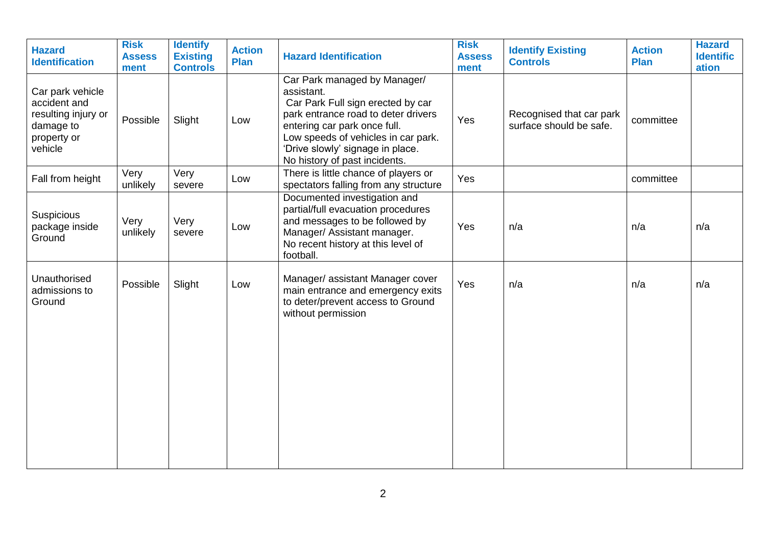| <b>Hazard</b><br><b>Identification</b>                                                         | <b>Risk</b><br><b>Assess</b><br>ment | <b>Identify</b><br><b>Existing</b><br><b>Controls</b> | <b>Action</b><br>Plan | <b>Hazard Identification</b>                                                                                                                                                                                                                                       | <b>Risk</b><br><b>Assess</b><br>ment | <b>Identify Existing</b><br><b>Controls</b>         | <b>Action</b><br>Plan | <b>Hazard</b><br><b>Identific</b><br>ation |
|------------------------------------------------------------------------------------------------|--------------------------------------|-------------------------------------------------------|-----------------------|--------------------------------------------------------------------------------------------------------------------------------------------------------------------------------------------------------------------------------------------------------------------|--------------------------------------|-----------------------------------------------------|-----------------------|--------------------------------------------|
| Car park vehicle<br>accident and<br>resulting injury or<br>damage to<br>property or<br>vehicle | Possible                             | Slight                                                | Low                   | Car Park managed by Manager/<br>assistant.<br>Car Park Full sign erected by car<br>park entrance road to deter drivers<br>entering car park once full.<br>Low speeds of vehicles in car park.<br>'Drive slowly' signage in place.<br>No history of past incidents. | Yes                                  | Recognised that car park<br>surface should be safe. | committee             |                                            |
| Fall from height                                                                               | Very<br>unlikely                     | Very<br>severe                                        | Low                   | There is little chance of players or<br>spectators falling from any structure                                                                                                                                                                                      | Yes                                  |                                                     | committee             |                                            |
| Suspicious<br>package inside<br>Ground                                                         | Very<br>unlikely                     | Very<br>severe                                        | Low                   | Documented investigation and<br>partial/full evacuation procedures<br>and messages to be followed by<br>Manager/ Assistant manager.<br>No recent history at this level of<br>football.                                                                             | Yes                                  | n/a                                                 | n/a                   | n/a                                        |
| Unauthorised<br>admissions to<br>Ground                                                        | Possible                             | Slight                                                | Low                   | Manager/ assistant Manager cover<br>main entrance and emergency exits<br>to deter/prevent access to Ground<br>without permission                                                                                                                                   | Yes                                  | n/a                                                 | n/a                   | n/a                                        |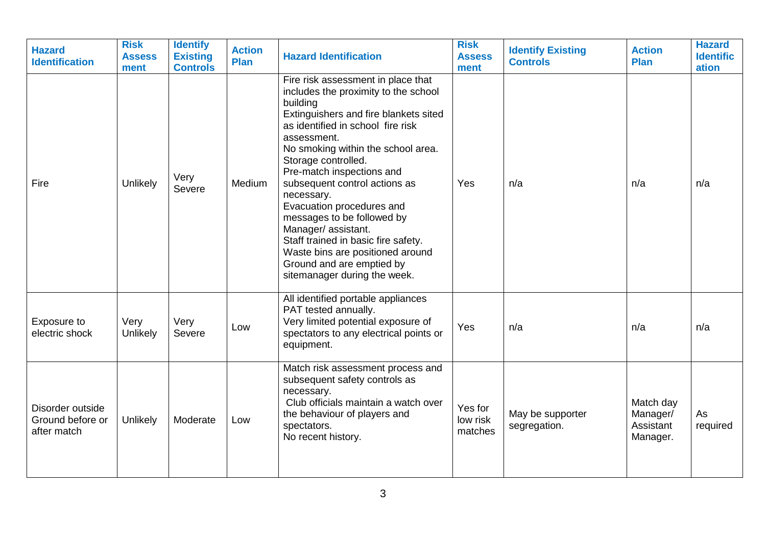| <b>Hazard</b><br><b>Identification</b>              | <b>Risk</b><br><b>Assess</b><br>ment | <b>Identify</b><br><b>Existing</b><br><b>Controls</b> | <b>Action</b><br><b>Plan</b> | <b>Hazard Identification</b>                                                                                                                                                                                                                                                                                                                                                                                                                                                                                                                           | <b>Risk</b><br><b>Assess</b><br>ment | <b>Identify Existing</b><br><b>Controls</b> | <b>Action</b><br><b>Plan</b>                   | <b>Hazard</b><br><b>Identific</b><br>ation |
|-----------------------------------------------------|--------------------------------------|-------------------------------------------------------|------------------------------|--------------------------------------------------------------------------------------------------------------------------------------------------------------------------------------------------------------------------------------------------------------------------------------------------------------------------------------------------------------------------------------------------------------------------------------------------------------------------------------------------------------------------------------------------------|--------------------------------------|---------------------------------------------|------------------------------------------------|--------------------------------------------|
| Fire                                                | Unlikely                             | Very<br>Severe                                        | Medium                       | Fire risk assessment in place that<br>includes the proximity to the school<br>building<br>Extinguishers and fire blankets sited<br>as identified in school fire risk<br>assessment.<br>No smoking within the school area.<br>Storage controlled.<br>Pre-match inspections and<br>subsequent control actions as<br>necessary.<br>Evacuation procedures and<br>messages to be followed by<br>Manager/ assistant.<br>Staff trained in basic fire safety.<br>Waste bins are positioned around<br>Ground and are emptied by<br>sitemanager during the week. | Yes                                  | n/a                                         | n/a                                            | n/a                                        |
| Exposure to<br>electric shock                       | Very<br>Unlikely                     | Very<br>Severe                                        | Low                          | All identified portable appliances<br>PAT tested annually.<br>Very limited potential exposure of<br>spectators to any electrical points or<br>equipment.                                                                                                                                                                                                                                                                                                                                                                                               | Yes                                  | n/a                                         | n/a                                            | n/a                                        |
| Disorder outside<br>Ground before or<br>after match | Unlikely                             | Moderate                                              | Low                          | Match risk assessment process and<br>subsequent safety controls as<br>necessary.<br>Club officials maintain a watch over<br>the behaviour of players and<br>spectators.<br>No recent history.                                                                                                                                                                                                                                                                                                                                                          | Yes for<br>low risk<br>matches       | May be supporter<br>segregation.            | Match day<br>Manager/<br>Assistant<br>Manager. | As<br>required                             |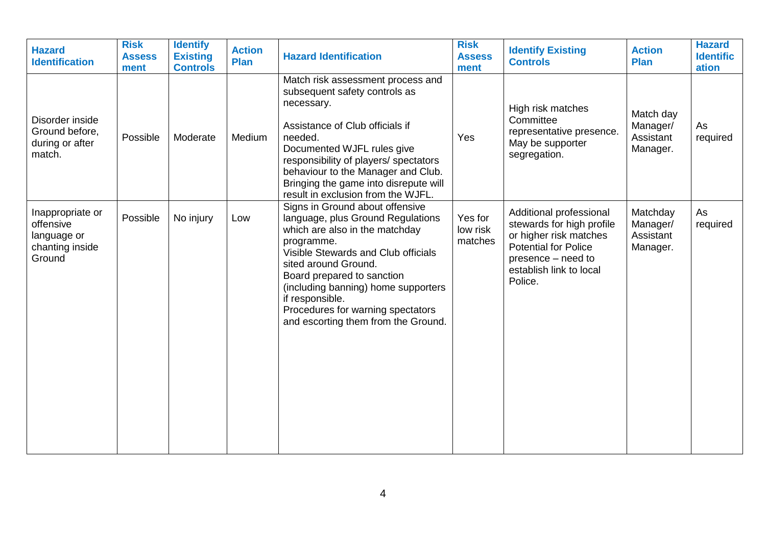| <b>Hazard</b><br><b>Identification</b>                                    | <b>Risk</b><br><b>Assess</b><br>ment | <b>Identify</b><br><b>Existing</b><br><b>Controls</b> | <b>Action</b><br>Plan | <b>Hazard Identification</b>                                                                                                                                                                                                                                                                                                                            | <b>Risk</b><br><b>Assess</b><br>ment | <b>Identify Existing</b><br><b>Controls</b>                                                                                                                               | <b>Action</b><br><b>Plan</b>                   | <b>Hazard</b><br><b>Identific</b><br>ation |
|---------------------------------------------------------------------------|--------------------------------------|-------------------------------------------------------|-----------------------|---------------------------------------------------------------------------------------------------------------------------------------------------------------------------------------------------------------------------------------------------------------------------------------------------------------------------------------------------------|--------------------------------------|---------------------------------------------------------------------------------------------------------------------------------------------------------------------------|------------------------------------------------|--------------------------------------------|
| Disorder inside<br>Ground before,<br>during or after<br>match.            | Possible                             | Moderate                                              | Medium                | Match risk assessment process and<br>subsequent safety controls as<br>necessary.<br>Assistance of Club officials if<br>needed.<br>Documented WJFL rules give<br>responsibility of players/ spectators<br>behaviour to the Manager and Club.<br>Bringing the game into disrepute will<br>result in exclusion from the WJFL.                              | Yes                                  | High risk matches<br>Committee<br>representative presence.<br>May be supporter<br>segregation.                                                                            | Match day<br>Manager/<br>Assistant<br>Manager. | As<br>required                             |
| Inappropriate or<br>offensive<br>language or<br>chanting inside<br>Ground | Possible                             | No injury                                             | Low                   | Signs in Ground about offensive<br>language, plus Ground Regulations<br>which are also in the matchday<br>programme.<br>Visible Stewards and Club officials<br>sited around Ground.<br>Board prepared to sanction<br>(including banning) home supporters<br>if responsible.<br>Procedures for warning spectators<br>and escorting them from the Ground. | Yes for<br>low risk<br>matches       | Additional professional<br>stewards for high profile<br>or higher risk matches<br><b>Potential for Police</b><br>presence – need to<br>establish link to local<br>Police. | Matchday<br>Manager/<br>Assistant<br>Manager.  | As<br>required                             |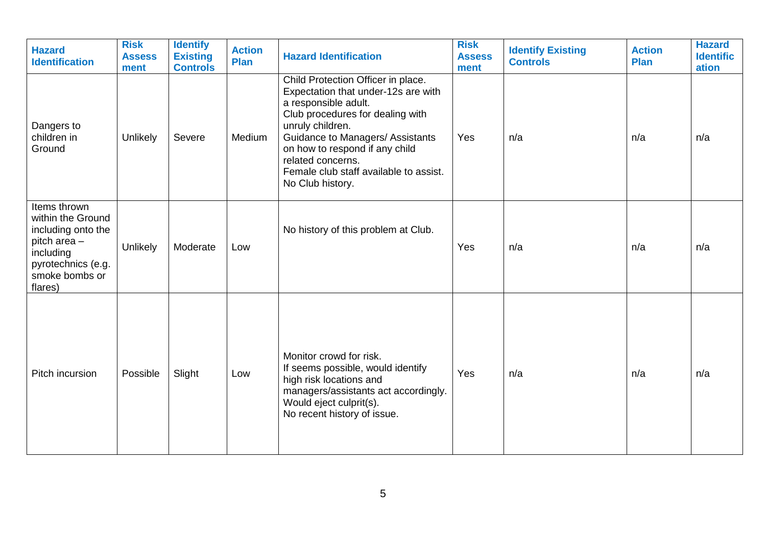| <b>Hazard</b><br><b>Identification</b>                                                                                                  | <b>Risk</b><br><b>Assess</b><br>ment | <b>Identify</b><br><b>Existing</b><br><b>Controls</b> | <b>Action</b><br>Plan | <b>Hazard Identification</b>                                                                                                                                                                                                                                                                                       | <b>Risk</b><br><b>Assess</b><br>ment | <b>Identify Existing</b><br><b>Controls</b> | <b>Action</b><br>Plan | <b>Hazard</b><br><b>Identific</b><br>ation |
|-----------------------------------------------------------------------------------------------------------------------------------------|--------------------------------------|-------------------------------------------------------|-----------------------|--------------------------------------------------------------------------------------------------------------------------------------------------------------------------------------------------------------------------------------------------------------------------------------------------------------------|--------------------------------------|---------------------------------------------|-----------------------|--------------------------------------------|
| Dangers to<br>children in<br>Ground                                                                                                     | Unlikely                             | Severe                                                | Medium                | Child Protection Officer in place.<br>Expectation that under-12s are with<br>a responsible adult.<br>Club procedures for dealing with<br>unruly children.<br>Guidance to Managers/ Assistants<br>on how to respond if any child<br>related concerns.<br>Female club staff available to assist.<br>No Club history. | Yes                                  | n/a                                         | n/a                   | n/a                                        |
| Items thrown<br>within the Ground<br>including onto the<br>pitch area -<br>including<br>pyrotechnics (e.g.<br>smoke bombs or<br>flares) | Unlikely                             | Moderate                                              | Low                   | No history of this problem at Club.                                                                                                                                                                                                                                                                                | Yes                                  | n/a                                         | n/a                   | n/a                                        |
| Pitch incursion                                                                                                                         | Possible                             | Slight                                                | Low                   | Monitor crowd for risk.<br>If seems possible, would identify<br>high risk locations and<br>managers/assistants act accordingly.<br>Would eject culprit(s).<br>No recent history of issue.                                                                                                                          | Yes                                  | n/a                                         | n/a                   | n/a                                        |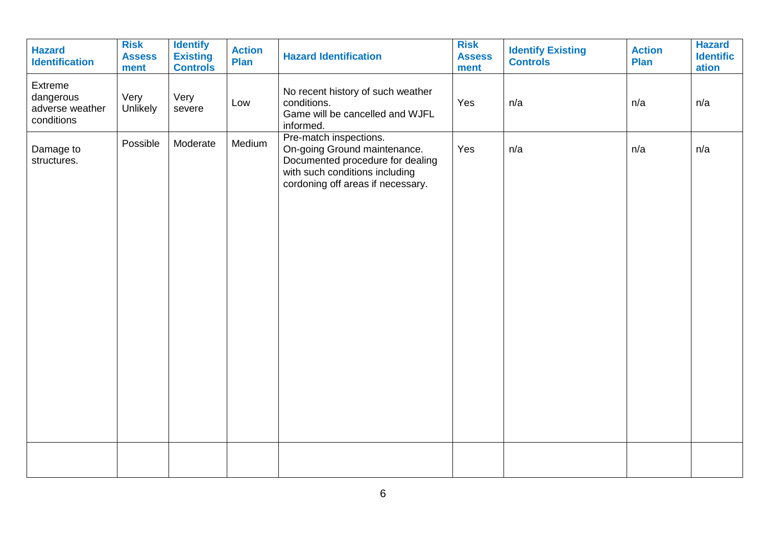| <b>Hazard</b><br><b>Identification</b>                | <b>Risk</b><br><b>Assess</b><br>ment | <b>Identify</b><br><b>Existing</b><br><b>Controls</b> | <b>Action</b><br><b>Plan</b> | <b>Hazard Identification</b>                                                                                                                                      | <b>Risk</b><br><b>Assess</b><br>ment | <b>Identify Existing</b><br><b>Controls</b> | <b>Action</b><br><b>Plan</b> | <b>Hazard</b><br><b>Identific</b><br>ation |
|-------------------------------------------------------|--------------------------------------|-------------------------------------------------------|------------------------------|-------------------------------------------------------------------------------------------------------------------------------------------------------------------|--------------------------------------|---------------------------------------------|------------------------------|--------------------------------------------|
| Extreme<br>dangerous<br>adverse weather<br>conditions | Very<br>Unlikely                     | Very<br>severe                                        | Low                          | No recent history of such weather<br>conditions.<br>Game will be cancelled and WJFL<br>informed.                                                                  | Yes                                  | n/a                                         | n/a                          | n/a                                        |
| Damage to<br>structures.                              | Possible                             | Moderate                                              | Medium                       | Pre-match inspections.<br>On-going Ground maintenance.<br>Documented procedure for dealing<br>with such conditions including<br>cordoning off areas if necessary. | Yes                                  | n/a                                         | n/a                          | n/a                                        |
|                                                       |                                      |                                                       |                              |                                                                                                                                                                   |                                      |                                             |                              |                                            |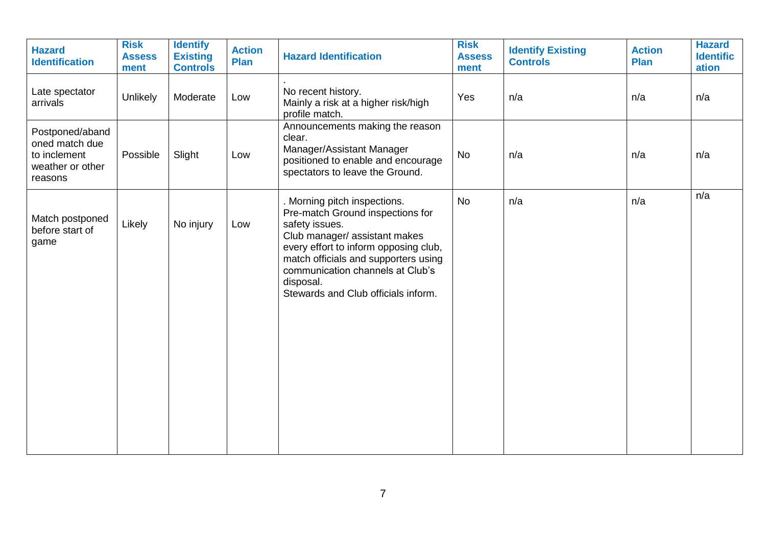| <b>Hazard</b><br><b>Identification</b>                                           | <b>Risk</b><br><b>Assess</b><br>ment | <b>Identify</b><br><b>Existing</b><br><b>Controls</b> | <b>Action</b><br><b>Plan</b> | <b>Hazard Identification</b>                                                                                                                                                                                                                                                              | <b>Risk</b><br><b>Assess</b><br>ment | <b>Identify Existing</b><br><b>Controls</b> | <b>Action</b><br>Plan | <b>Hazard</b><br><b>Identific</b><br>ation |
|----------------------------------------------------------------------------------|--------------------------------------|-------------------------------------------------------|------------------------------|-------------------------------------------------------------------------------------------------------------------------------------------------------------------------------------------------------------------------------------------------------------------------------------------|--------------------------------------|---------------------------------------------|-----------------------|--------------------------------------------|
| Late spectator<br>arrivals                                                       | Unlikely                             | Moderate                                              | Low                          | No recent history.<br>Mainly a risk at a higher risk/high<br>profile match.                                                                                                                                                                                                               | Yes                                  | n/a                                         | n/a                   | n/a                                        |
| Postponed/aband<br>oned match due<br>to inclement<br>weather or other<br>reasons | Possible                             | Slight                                                | Low                          | Announcements making the reason<br>clear.<br>Manager/Assistant Manager<br>positioned to enable and encourage<br>spectators to leave the Ground.                                                                                                                                           | No                                   | n/a                                         | n/a                   | n/a                                        |
| Match postponed<br>before start of<br>game                                       | Likely                               | No injury                                             | Low                          | Morning pitch inspections.<br>Pre-match Ground inspections for<br>safety issues.<br>Club manager/assistant makes<br>every effort to inform opposing club,<br>match officials and supporters using<br>communication channels at Club's<br>disposal.<br>Stewards and Club officials inform. | <b>No</b>                            | n/a                                         | n/a                   | n/a                                        |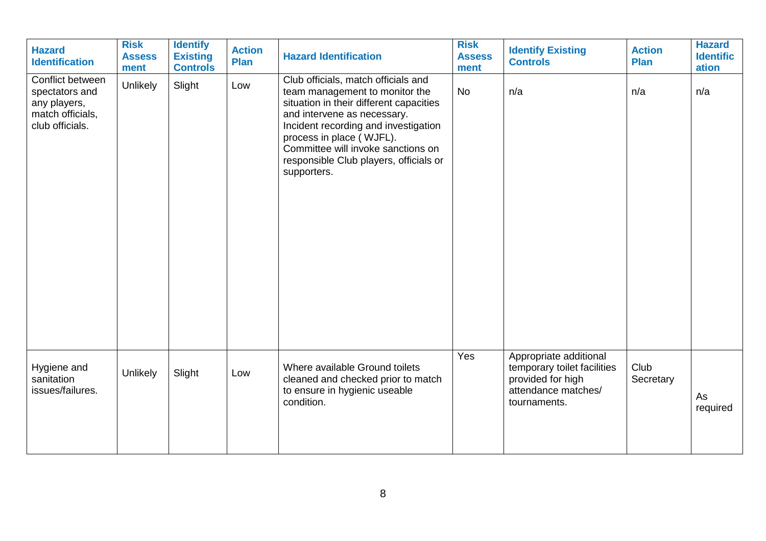| <b>Hazard</b><br><b>Identification</b>                                                    | <b>Risk</b><br><b>Assess</b><br>ment | <b>Identify</b><br><b>Existing</b><br><b>Controls</b> | <b>Action</b><br>Plan | <b>Hazard Identification</b>                                                                                                                                                                                                                                                                                       | <b>Risk</b><br><b>Assess</b><br>ment | <b>Identify Existing</b><br><b>Controls</b>                                                                       | <b>Action</b><br>Plan | <b>Hazard</b><br><b>Identific</b><br>ation |
|-------------------------------------------------------------------------------------------|--------------------------------------|-------------------------------------------------------|-----------------------|--------------------------------------------------------------------------------------------------------------------------------------------------------------------------------------------------------------------------------------------------------------------------------------------------------------------|--------------------------------------|-------------------------------------------------------------------------------------------------------------------|-----------------------|--------------------------------------------|
| Conflict between<br>spectators and<br>any players,<br>match officials,<br>club officials. | Unlikely                             | Slight                                                | Low                   | Club officials, match officials and<br>team management to monitor the<br>situation in their different capacities<br>and intervene as necessary.<br>Incident recording and investigation<br>process in place (WJFL).<br>Committee will invoke sanctions on<br>responsible Club players, officials or<br>supporters. | <b>No</b>                            | n/a                                                                                                               | n/a                   | n/a                                        |
| Hygiene and<br>sanitation<br>issues/failures.                                             | Unlikely                             | Slight                                                | Low                   | Where available Ground toilets<br>cleaned and checked prior to match<br>to ensure in hygienic useable<br>condition.                                                                                                                                                                                                | Yes                                  | Appropriate additional<br>temporary toilet facilities<br>provided for high<br>attendance matches/<br>tournaments. | Club<br>Secretary     | As<br>required                             |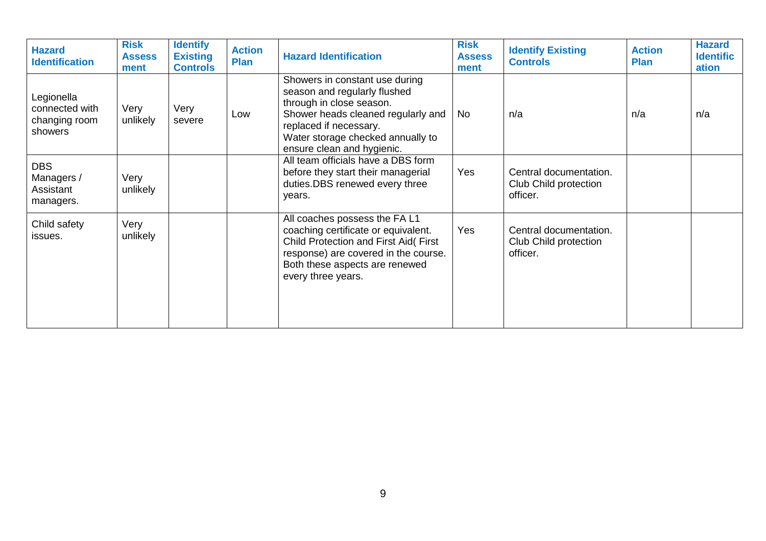| <b>Hazard</b><br><b>Identification</b>                   | <b>Risk</b><br><b>Assess</b><br>ment | <b>Identify</b><br><b>Existing</b><br><b>Controls</b> | <b>Action</b><br><b>Plan</b> | <b>Hazard Identification</b>                                                                                                                                                                                                  | <b>Risk</b><br><b>Assess</b><br>ment | <b>Identify Existing</b><br><b>Controls</b>                 | <b>Action</b><br><b>Plan</b> | <b>Hazard</b><br><b>Identific</b><br>ation |
|----------------------------------------------------------|--------------------------------------|-------------------------------------------------------|------------------------------|-------------------------------------------------------------------------------------------------------------------------------------------------------------------------------------------------------------------------------|--------------------------------------|-------------------------------------------------------------|------------------------------|--------------------------------------------|
| Legionella<br>connected with<br>changing room<br>showers | Very<br>unlikely                     | Very<br>severe                                        | Low                          | Showers in constant use during<br>season and regularly flushed<br>through in close season.<br>Shower heads cleaned regularly and<br>replaced if necessary.<br>Water storage checked annually to<br>ensure clean and hygienic. | <b>No</b>                            | n/a                                                         | n/a                          | n/a                                        |
| <b>DBS</b><br>Managers /<br>Assistant<br>managers.       | Very<br>unlikely                     |                                                       |                              | All team officials have a DBS form<br>before they start their managerial<br>duties.DBS renewed every three<br>vears.                                                                                                          | Yes                                  | Central documentation.<br>Club Child protection<br>officer. |                              |                                            |
| Child safety<br>issues.                                  | Very<br>unlikely                     |                                                       |                              | All coaches possess the FA L1<br>coaching certificate or equivalent.<br>Child Protection and First Aid(First<br>response) are covered in the course.<br>Both these aspects are renewed<br>every three years.                  | Yes                                  | Central documentation.<br>Club Child protection<br>officer. |                              |                                            |